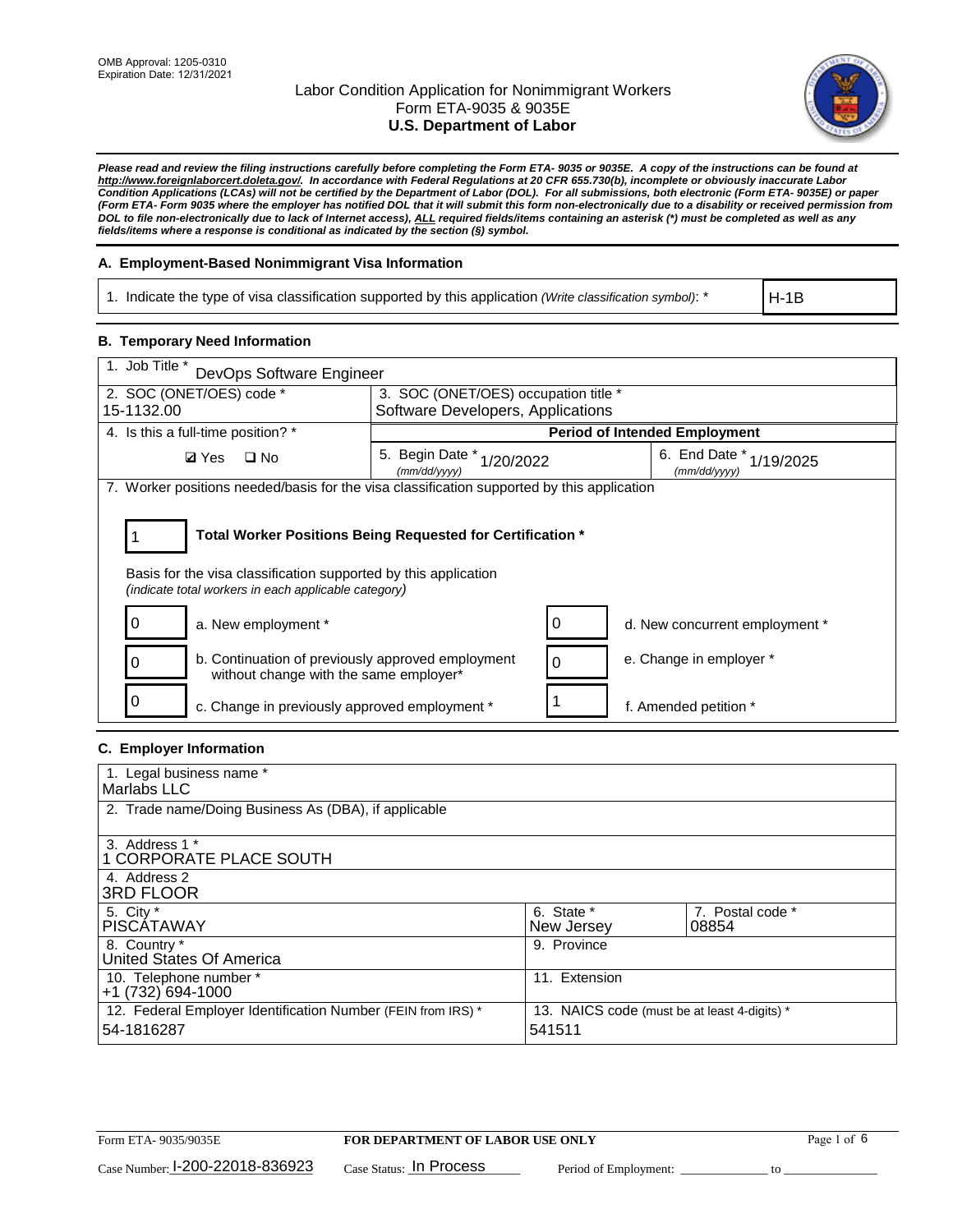

*Please read and review the filing instructions carefully before completing the Form ETA- 9035 or 9035E. A copy of the instructions can be found at http://www.foreignlaborcert.doleta.gov/. In accordance with Federal Regulations at 20 CFR 655.730(b), incomplete or obviously inaccurate Labor Condition Applications (LCAs) will not be certified by the Department of Labor (DOL). For all submissions, both electronic (Form ETA- 9035E) or paper (Form ETA- Form 9035 where the employer has notified DOL that it will submit this form non-electronically due to a disability or received permission from DOL to file non-electronically due to lack of Internet access), ALL required fields/items containing an asterisk (\*) must be completed as well as any fields/items where a response is conditional as indicated by the section (§) symbol.* 

### **A. Employment-Based Nonimmigrant Visa Information**

1. Indicate the type of visa classification supported by this application *(Write classification symbol)*: \*

H-1B

### **B. Temporary Need Information**

| 1. Job Title *<br>DevOps Software Engineer                                                                                                                                            |                                           |                                      |                                             |  |  |
|---------------------------------------------------------------------------------------------------------------------------------------------------------------------------------------|-------------------------------------------|--------------------------------------|---------------------------------------------|--|--|
| 2. SOC (ONET/OES) code *                                                                                                                                                              | 3. SOC (ONET/OES) occupation title *      |                                      |                                             |  |  |
| 15-1132.00                                                                                                                                                                            | Software Developers, Applications         |                                      |                                             |  |  |
| 4. Is this a full-time position? *                                                                                                                                                    |                                           | <b>Period of Intended Employment</b> |                                             |  |  |
| <b>Ø</b> Yes<br>$\square$ No                                                                                                                                                          | 5. Begin Date * 1/20/2022<br>(mm/dd/yyyy) |                                      | 6. End Date $*_{1/19/2025}$<br>(mm/dd/yyyy) |  |  |
| 7. Worker positions needed/basis for the visa classification supported by this application                                                                                            |                                           |                                      |                                             |  |  |
| Total Worker Positions Being Requested for Certification *<br>Basis for the visa classification supported by this application<br>(indicate total workers in each applicable category) |                                           |                                      |                                             |  |  |
| a. New employment *                                                                                                                                                                   |                                           |                                      | d. New concurrent employment *              |  |  |
| b. Continuation of previously approved employment<br>ი<br>without change with the same employer*                                                                                      |                                           | e. Change in employer *<br>0         |                                             |  |  |
| c. Change in previously approved employment *                                                                                                                                         |                                           | f. Amended petition *                |                                             |  |  |

### **C. Employer Information**

| 1. Legal business name *                                                   |                                                        |                           |
|----------------------------------------------------------------------------|--------------------------------------------------------|---------------------------|
| Marlabs LLC                                                                |                                                        |                           |
| 2. Trade name/Doing Business As (DBA), if applicable                       |                                                        |                           |
| 3. Address 1 *<br>1 CORPORATE PLACE SOUTH<br>4. Address 2                  |                                                        |                           |
| <b>3RD FLOOR</b>                                                           |                                                        |                           |
| 5. City *<br><b>PISCÁTAWAY</b>                                             | 6. State *<br>New Jersey                               | 7. Postal code *<br>08854 |
| 8. Country *<br>United States Of America                                   | 9. Province                                            |                           |
| 10. Telephone number *<br>$+1(732)694-1000$                                | 11. Extension                                          |                           |
| 12. Federal Employer Identification Number (FEIN from IRS) *<br>54-1816287 | 13. NAICS code (must be at least 4-digits) *<br>541511 |                           |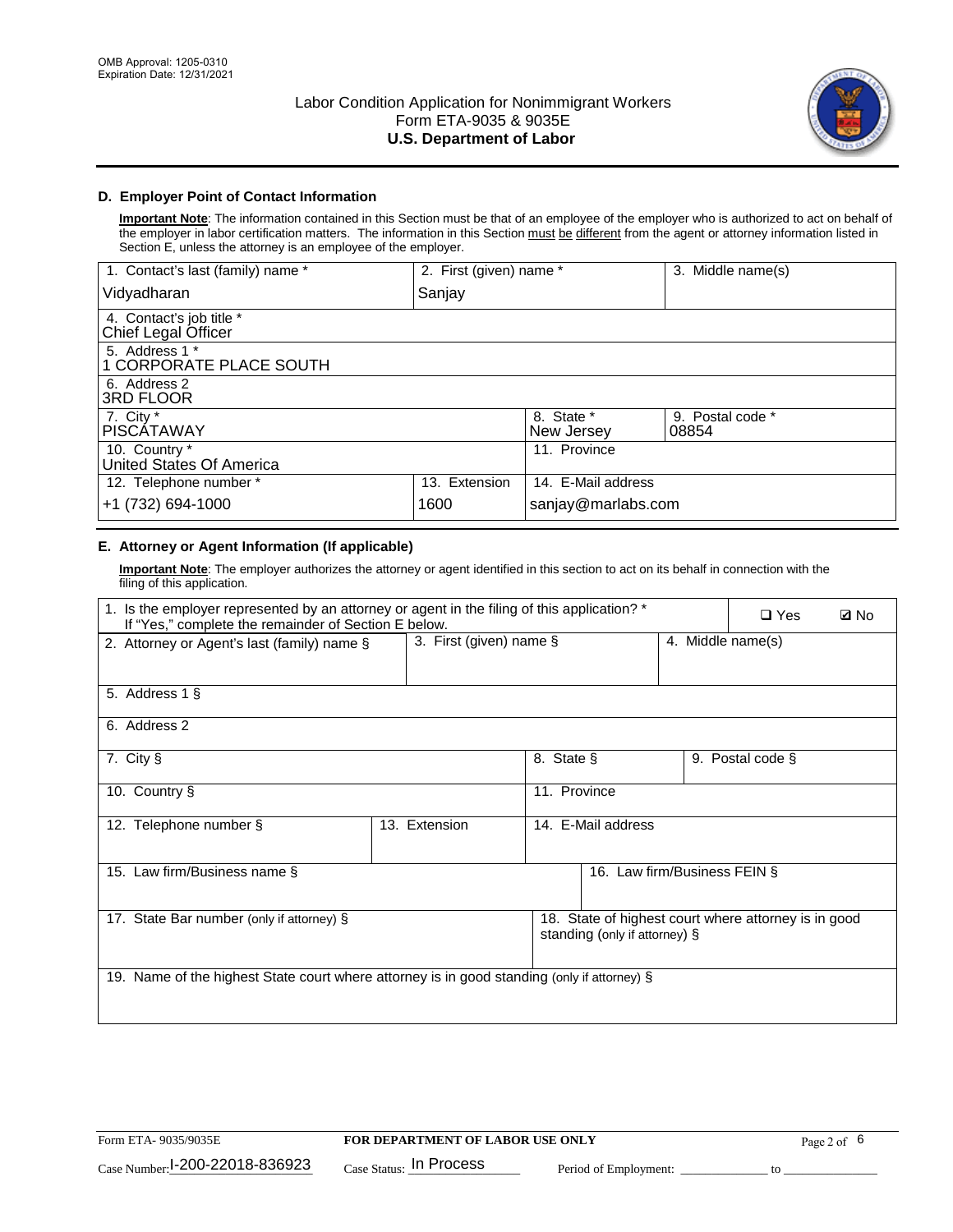

### **D. Employer Point of Contact Information**

**Important Note**: The information contained in this Section must be that of an employee of the employer who is authorized to act on behalf of the employer in labor certification matters. The information in this Section must be different from the agent or attorney information listed in Section E, unless the attorney is an employee of the employer.

| 1. Contact's last (family) name *               | 2. First (given) name * |                          | 3. Middle name(s)         |
|-------------------------------------------------|-------------------------|--------------------------|---------------------------|
| Vidyadharan                                     | Sanjay                  |                          |                           |
| 4. Contact's job title *<br>Chief Legal Officer |                         |                          |                           |
| 5. Address 1 *<br>1 CORPORATE PLACE SOUTH       |                         |                          |                           |
| 6. Address 2<br>3RD FLOOR                       |                         |                          |                           |
| 7. City $*$<br><b>PISCÁTAWAY</b>                |                         | 8. State *<br>New Jersey | 9. Postal code *<br>08854 |
| 10. Country *<br>United States Of America       |                         | 11. Province             |                           |
| 12. Telephone number *                          | 13. Extension           | 14. E-Mail address       |                           |
| +1 (732) 694-1000                               | 1600                    | sanjay@marlabs.com       |                           |

## **E. Attorney or Agent Information (If applicable)**

**Important Note**: The employer authorizes the attorney or agent identified in this section to act on its behalf in connection with the filing of this application.

| 1. Is the employer represented by an attorney or agent in the filing of this application? *<br>If "Yes," complete the remainder of Section E below. |                         | $\square$ Yes      | <b>ØNo</b>                    |                   |                                                      |  |
|-----------------------------------------------------------------------------------------------------------------------------------------------------|-------------------------|--------------------|-------------------------------|-------------------|------------------------------------------------------|--|
| 2. Attorney or Agent's last (family) name §                                                                                                         | 3. First (given) name § |                    |                               | 4. Middle name(s) |                                                      |  |
| 5. Address 1 §                                                                                                                                      |                         |                    |                               |                   |                                                      |  |
| 6. Address 2                                                                                                                                        |                         |                    |                               |                   |                                                      |  |
| 7. City §                                                                                                                                           |                         | 8. State §         |                               |                   | 9. Postal code §                                     |  |
| 10. Country §                                                                                                                                       |                         | 11. Province       |                               |                   |                                                      |  |
| 12. Telephone number §                                                                                                                              | 13. Extension           | 14. E-Mail address |                               |                   |                                                      |  |
| 15. Law firm/Business name §                                                                                                                        |                         |                    | 16. Law firm/Business FEIN §  |                   |                                                      |  |
| 17. State Bar number (only if attorney) §                                                                                                           |                         |                    | standing (only if attorney) § |                   | 18. State of highest court where attorney is in good |  |
| 19. Name of the highest State court where attorney is in good standing (only if attorney) §                                                         |                         |                    |                               |                   |                                                      |  |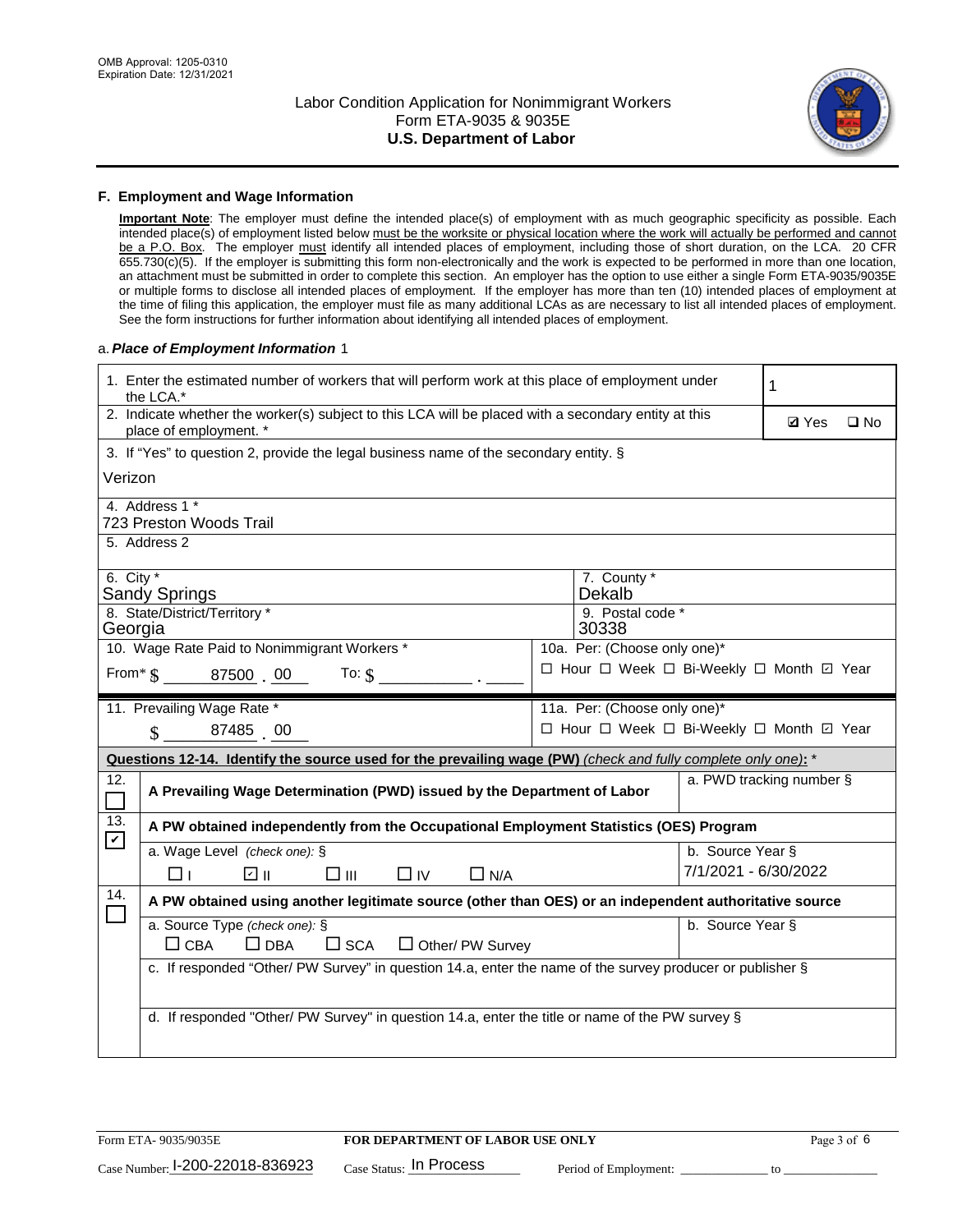

#### **F. Employment and Wage Information**

**Important Note**: The employer must define the intended place(s) of employment with as much geographic specificity as possible. Each intended place(s) of employment listed below must be the worksite or physical location where the work will actually be performed and cannot be a P.O. Box. The employer must identify all intended places of employment, including those of short duration, on the LCA. 20 CFR 655.730(c)(5). If the employer is submitting this form non-electronically and the work is expected to be performed in more than one location, an attachment must be submitted in order to complete this section. An employer has the option to use either a single Form ETA-9035/9035E or multiple forms to disclose all intended places of employment. If the employer has more than ten (10) intended places of employment at the time of filing this application, the employer must file as many additional LCAs as are necessary to list all intended places of employment. See the form instructions for further information about identifying all intended places of employment.

#### a.*Place of Employment Information* 1

|                                                                              | 1. Enter the estimated number of workers that will perform work at this place of employment under<br>the LCA.*                 |  | 1                                        |                      |                          |              |  |  |
|------------------------------------------------------------------------------|--------------------------------------------------------------------------------------------------------------------------------|--|------------------------------------------|----------------------|--------------------------|--------------|--|--|
|                                                                              | 2. Indicate whether the worker(s) subject to this LCA will be placed with a secondary entity at this<br>place of employment. * |  |                                          |                      | <b>Ø</b> Yes             | $\square$ No |  |  |
|                                                                              | 3. If "Yes" to question 2, provide the legal business name of the secondary entity. §                                          |  |                                          |                      |                          |              |  |  |
| Verizon                                                                      |                                                                                                                                |  |                                          |                      |                          |              |  |  |
|                                                                              | 4. Address 1 *<br>723 Preston Woods Trail                                                                                      |  |                                          |                      |                          |              |  |  |
|                                                                              | 5. Address 2                                                                                                                   |  |                                          |                      |                          |              |  |  |
|                                                                              | 6. City $*$<br>7. County *<br>Dekalb<br>Sandy Springs<br>8. State/District/Territory *                                         |  |                                          |                      |                          |              |  |  |
| Georgia                                                                      |                                                                                                                                |  | 9. Postal code *<br>30338                |                      |                          |              |  |  |
| 10. Wage Rate Paid to Nonimmigrant Workers *<br>10a. Per: (Choose only one)* |                                                                                                                                |  |                                          |                      |                          |              |  |  |
|                                                                              | □ Hour □ Week □ Bi-Weekly □ Month ☑ Year<br>From* \$ 87500 00<br>To: $\S$                                                      |  |                                          |                      |                          |              |  |  |
|                                                                              | 11. Prevailing Wage Rate *                                                                                                     |  | 11a. Per: (Choose only one)*             |                      |                          |              |  |  |
|                                                                              | $\sin 87485$ 00                                                                                                                |  | □ Hour □ Week □ Bi-Weekly □ Month ☑ Year |                      |                          |              |  |  |
|                                                                              | Questions 12-14. Identify the source used for the prevailing wage (PW) (check and fully complete only one): *                  |  |                                          |                      |                          |              |  |  |
| 12.                                                                          | A Prevailing Wage Determination (PWD) issued by the Department of Labor                                                        |  |                                          |                      | a. PWD tracking number § |              |  |  |
| 13.                                                                          | A PW obtained independently from the Occupational Employment Statistics (OES) Program                                          |  |                                          |                      |                          |              |  |  |
| $\mathbf v$                                                                  | a. Wage Level (check one): §                                                                                                   |  |                                          | b. Source Year §     |                          |              |  |  |
|                                                                              | ☑ ⊪<br>$\square$ $\square$<br>$\Box$ IV<br>$\Box$ N/A<br>□⊥                                                                    |  |                                          | 7/1/2021 - 6/30/2022 |                          |              |  |  |
| 14.                                                                          | A PW obtained using another legitimate source (other than OES) or an independent authoritative source                          |  |                                          |                      |                          |              |  |  |
|                                                                              | a. Source Type (check one): §<br>b. Source Year §<br>$\Box$ CBA<br>$\Box$ DBA<br>$\square$ SCA<br>$\Box$ Other/ PW Survey      |  |                                          |                      |                          |              |  |  |
|                                                                              | c. If responded "Other/ PW Survey" in question 14.a, enter the name of the survey producer or publisher §                      |  |                                          |                      |                          |              |  |  |
|                                                                              | d. If responded "Other/ PW Survey" in question 14.a, enter the title or name of the PW survey §                                |  |                                          |                      |                          |              |  |  |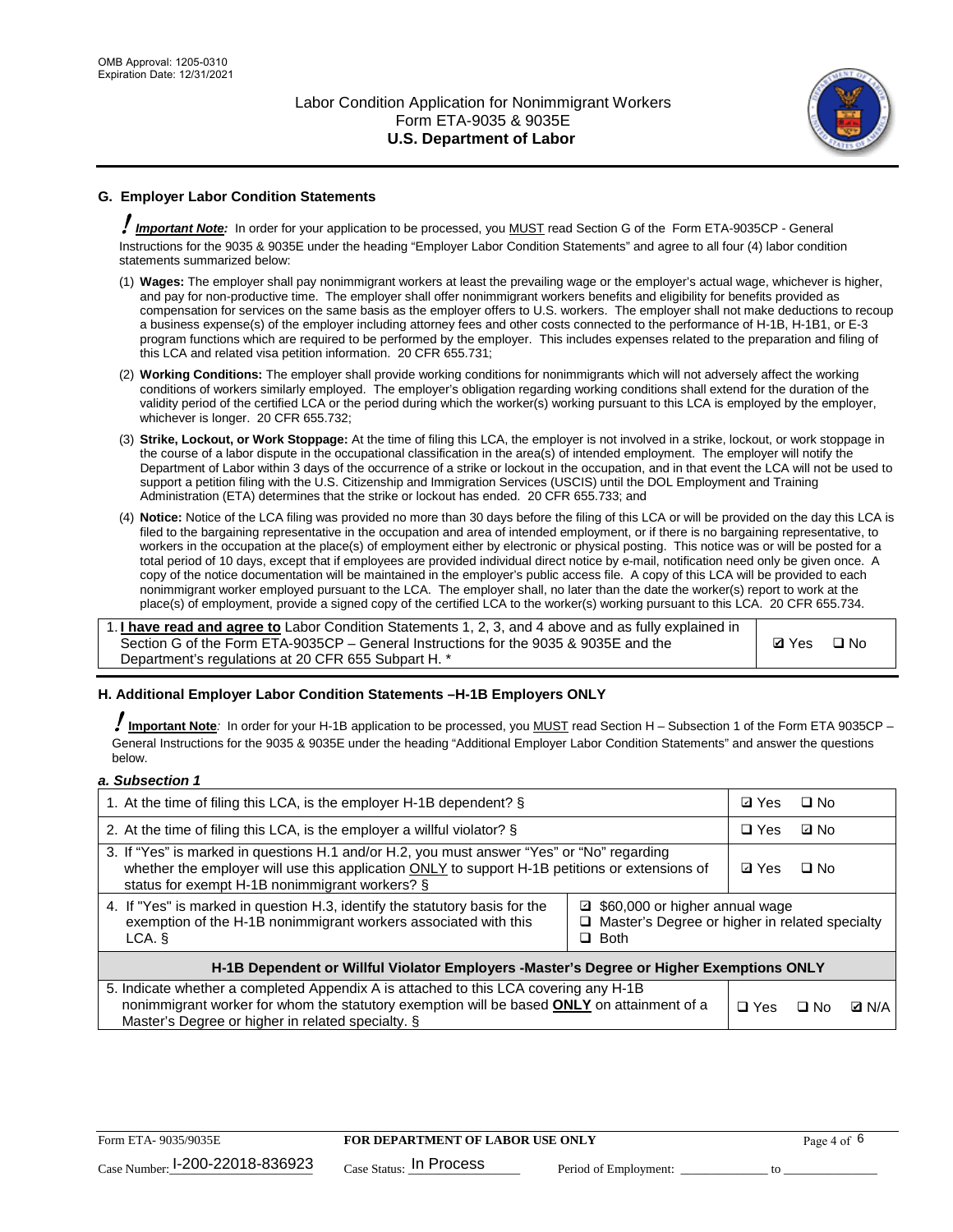

## **G. Employer Labor Condition Statements**

! *Important Note:* In order for your application to be processed, you MUST read Section G of the Form ETA-9035CP - General Instructions for the 9035 & 9035E under the heading "Employer Labor Condition Statements" and agree to all four (4) labor condition statements summarized below:

- (1) **Wages:** The employer shall pay nonimmigrant workers at least the prevailing wage or the employer's actual wage, whichever is higher, and pay for non-productive time. The employer shall offer nonimmigrant workers benefits and eligibility for benefits provided as compensation for services on the same basis as the employer offers to U.S. workers. The employer shall not make deductions to recoup a business expense(s) of the employer including attorney fees and other costs connected to the performance of H-1B, H-1B1, or E-3 program functions which are required to be performed by the employer. This includes expenses related to the preparation and filing of this LCA and related visa petition information. 20 CFR 655.731;
- (2) **Working Conditions:** The employer shall provide working conditions for nonimmigrants which will not adversely affect the working conditions of workers similarly employed. The employer's obligation regarding working conditions shall extend for the duration of the validity period of the certified LCA or the period during which the worker(s) working pursuant to this LCA is employed by the employer, whichever is longer. 20 CFR 655.732;
- (3) **Strike, Lockout, or Work Stoppage:** At the time of filing this LCA, the employer is not involved in a strike, lockout, or work stoppage in the course of a labor dispute in the occupational classification in the area(s) of intended employment. The employer will notify the Department of Labor within 3 days of the occurrence of a strike or lockout in the occupation, and in that event the LCA will not be used to support a petition filing with the U.S. Citizenship and Immigration Services (USCIS) until the DOL Employment and Training Administration (ETA) determines that the strike or lockout has ended. 20 CFR 655.733; and
- (4) **Notice:** Notice of the LCA filing was provided no more than 30 days before the filing of this LCA or will be provided on the day this LCA is filed to the bargaining representative in the occupation and area of intended employment, or if there is no bargaining representative, to workers in the occupation at the place(s) of employment either by electronic or physical posting. This notice was or will be posted for a total period of 10 days, except that if employees are provided individual direct notice by e-mail, notification need only be given once. A copy of the notice documentation will be maintained in the employer's public access file. A copy of this LCA will be provided to each nonimmigrant worker employed pursuant to the LCA. The employer shall, no later than the date the worker(s) report to work at the place(s) of employment, provide a signed copy of the certified LCA to the worker(s) working pursuant to this LCA. 20 CFR 655.734.

1. **I have read and agree to** Labor Condition Statements 1, 2, 3, and 4 above and as fully explained in Section G of the Form ETA-9035CP – General Instructions for the 9035 & 9035E and the Department's regulations at 20 CFR 655 Subpart H. \*

**Ø**Yes ロNo

#### **H. Additional Employer Labor Condition Statements –H-1B Employers ONLY**

!**Important Note***:* In order for your H-1B application to be processed, you MUST read Section H – Subsection 1 of the Form ETA 9035CP – General Instructions for the 9035 & 9035E under the heading "Additional Employer Labor Condition Statements" and answer the questions below.

#### *a. Subsection 1*

| 1. At the time of filing this LCA, is the employer H-1B dependent? §                                                                                                                                                                                            | ⊡ Yes | $\square$ No |           |              |  |
|-----------------------------------------------------------------------------------------------------------------------------------------------------------------------------------------------------------------------------------------------------------------|-------|--------------|-----------|--------------|--|
| 2. At the time of filing this LCA, is the employer a willful violator? $\S$                                                                                                                                                                                     |       | $\Box$ Yes   | ⊡ No      |              |  |
| 3. If "Yes" is marked in questions H.1 and/or H.2, you must answer "Yes" or "No" regarding<br>whether the employer will use this application ONLY to support H-1B petitions or extensions of<br>status for exempt H-1B nonimmigrant workers? §                  |       |              | $\Box$ No |              |  |
| 4. If "Yes" is marked in question H.3, identify the statutory basis for the<br>■ \$60,000 or higher annual wage<br>exemption of the H-1B nonimmigrant workers associated with this<br>□ Master's Degree or higher in related specialty<br>$\Box$ Both<br>LCA. § |       |              |           |              |  |
| H-1B Dependent or Willful Violator Employers -Master's Degree or Higher Exemptions ONLY                                                                                                                                                                         |       |              |           |              |  |
| 5. Indicate whether a completed Appendix A is attached to this LCA covering any H-1B<br>nonimmigrant worker for whom the statutory exemption will be based <b>ONLY</b> on attainment of a<br>Master's Degree or higher in related specialty. §                  |       |              | ⊡ No      | <b>D</b> N/A |  |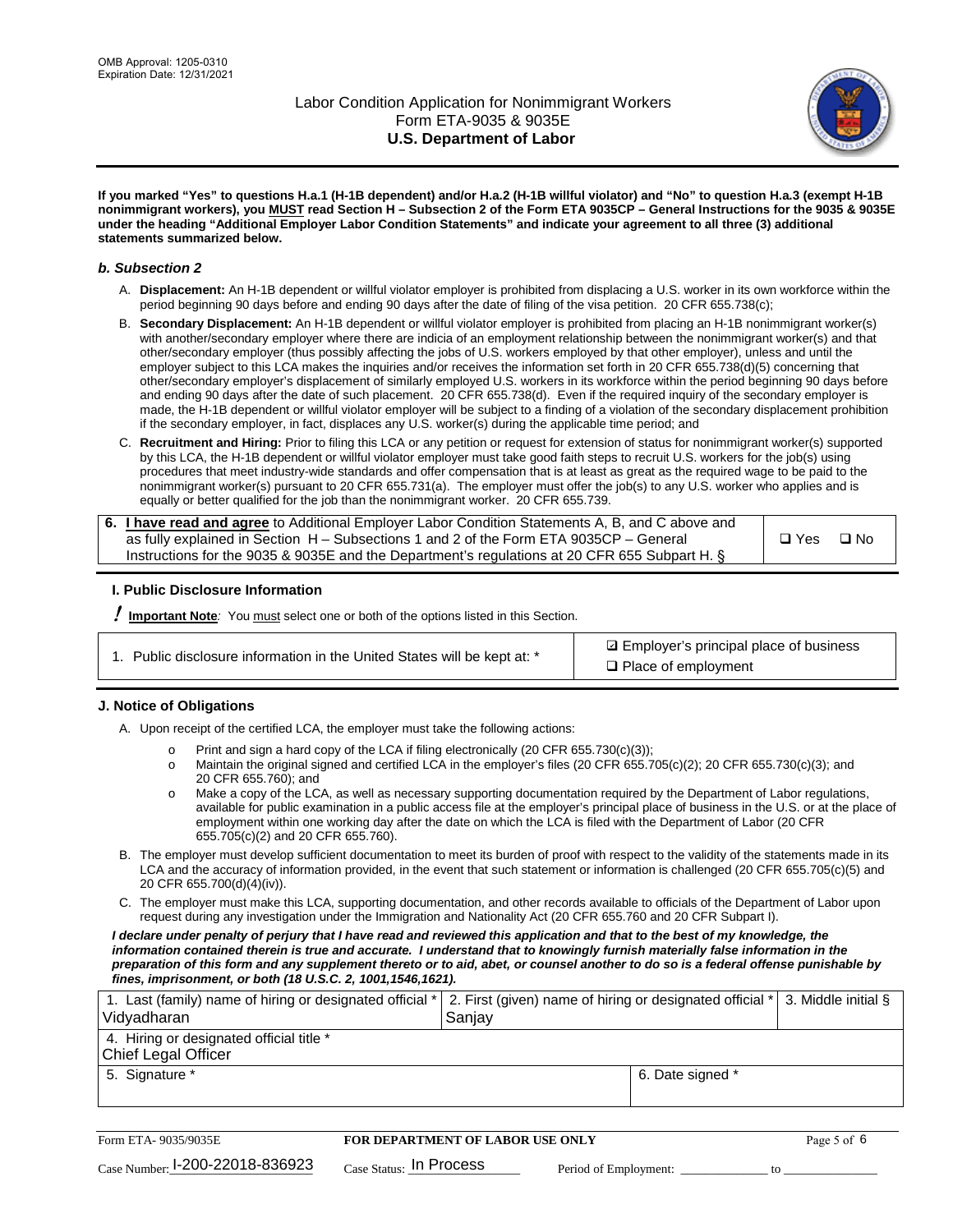

**If you marked "Yes" to questions H.a.1 (H-1B dependent) and/or H.a.2 (H-1B willful violator) and "No" to question H.a.3 (exempt H-1B nonimmigrant workers), you MUST read Section H – Subsection 2 of the Form ETA 9035CP – General Instructions for the 9035 & 9035E under the heading "Additional Employer Labor Condition Statements" and indicate your agreement to all three (3) additional statements summarized below.**

#### *b. Subsection 2*

- A. **Displacement:** An H-1B dependent or willful violator employer is prohibited from displacing a U.S. worker in its own workforce within the period beginning 90 days before and ending 90 days after the date of filing of the visa petition. 20 CFR 655.738(c);
- B. **Secondary Displacement:** An H-1B dependent or willful violator employer is prohibited from placing an H-1B nonimmigrant worker(s) with another/secondary employer where there are indicia of an employment relationship between the nonimmigrant worker(s) and that other/secondary employer (thus possibly affecting the jobs of U.S. workers employed by that other employer), unless and until the employer subject to this LCA makes the inquiries and/or receives the information set forth in 20 CFR 655.738(d)(5) concerning that other/secondary employer's displacement of similarly employed U.S. workers in its workforce within the period beginning 90 days before and ending 90 days after the date of such placement. 20 CFR 655.738(d). Even if the required inquiry of the secondary employer is made, the H-1B dependent or willful violator employer will be subject to a finding of a violation of the secondary displacement prohibition if the secondary employer, in fact, displaces any U.S. worker(s) during the applicable time period; and
- C. **Recruitment and Hiring:** Prior to filing this LCA or any petition or request for extension of status for nonimmigrant worker(s) supported by this LCA, the H-1B dependent or willful violator employer must take good faith steps to recruit U.S. workers for the job(s) using procedures that meet industry-wide standards and offer compensation that is at least as great as the required wage to be paid to the nonimmigrant worker(s) pursuant to 20 CFR 655.731(a). The employer must offer the job(s) to any U.S. worker who applies and is equally or better qualified for the job than the nonimmigrant worker. 20 CFR 655.739.

| 6. I have read and agree to Additional Employer Labor Condition Statements A, B, and C above and |       |           |
|--------------------------------------------------------------------------------------------------|-------|-----------|
| as fully explained in Section H – Subsections 1 and 2 of the Form ETA 9035CP – General           | □ Yes | $\Box$ No |
| Instructions for the 9035 & 9035E and the Department's regulations at 20 CFR 655 Subpart H. §    |       |           |

#### **I. Public Disclosure Information**

! **Important Note***:* You must select one or both of the options listed in this Section.

|  | 1. Public disclosure information in the United States will be kept at: * |  |  |  |
|--|--------------------------------------------------------------------------|--|--|--|
|  |                                                                          |  |  |  |

**sqrt** Employer's principal place of business □ Place of employment

#### **J. Notice of Obligations**

A. Upon receipt of the certified LCA, the employer must take the following actions:

- o Print and sign a hard copy of the LCA if filing electronically (20 CFR 655.730(c)(3));<br>
Maintain the original signed and certified LCA in the employer's files (20 CFR 655.7
- Maintain the original signed and certified LCA in the employer's files (20 CFR 655.705(c)(2); 20 CFR 655.730(c)(3); and 20 CFR 655.760); and
- o Make a copy of the LCA, as well as necessary supporting documentation required by the Department of Labor regulations, available for public examination in a public access file at the employer's principal place of business in the U.S. or at the place of employment within one working day after the date on which the LCA is filed with the Department of Labor (20 CFR 655.705(c)(2) and 20 CFR 655.760).
- B. The employer must develop sufficient documentation to meet its burden of proof with respect to the validity of the statements made in its LCA and the accuracy of information provided, in the event that such statement or information is challenged (20 CFR 655.705(c)(5) and 20 CFR 655.700(d)(4)(iv)).
- C. The employer must make this LCA, supporting documentation, and other records available to officials of the Department of Labor upon request during any investigation under the Immigration and Nationality Act (20 CFR 655.760 and 20 CFR Subpart I).

*I declare under penalty of perjury that I have read and reviewed this application and that to the best of my knowledge, the*  information contained therein is true and accurate. I understand that to knowingly furnish materially false information in the *preparation of this form and any supplement thereto or to aid, abet, or counsel another to do so is a federal offense punishable by fines, imprisonment, or both (18 U.S.C. 2, 1001,1546,1621).*

| 1. Last (family) name of hiring or designated official *   2. First (given) name of hiring or designated official *   3. Middle initial §<br>Vidyadharan | Saniav           |  |
|----------------------------------------------------------------------------------------------------------------------------------------------------------|------------------|--|
| 4. Hiring or designated official title *<br>Chief Legal Officer                                                                                          |                  |  |
| 5. Signature *                                                                                                                                           | 6. Date signed * |  |

| Form ETA-9035/9035E                         | FOR DEPARTMENT OF LABOR USE ONLY   |                       |  |
|---------------------------------------------|------------------------------------|-----------------------|--|
| $_{\text{Case Number:}}$ 1-200-22018-836923 | $_{\rm Case~S status:}$ In Process | Period of Employment: |  |